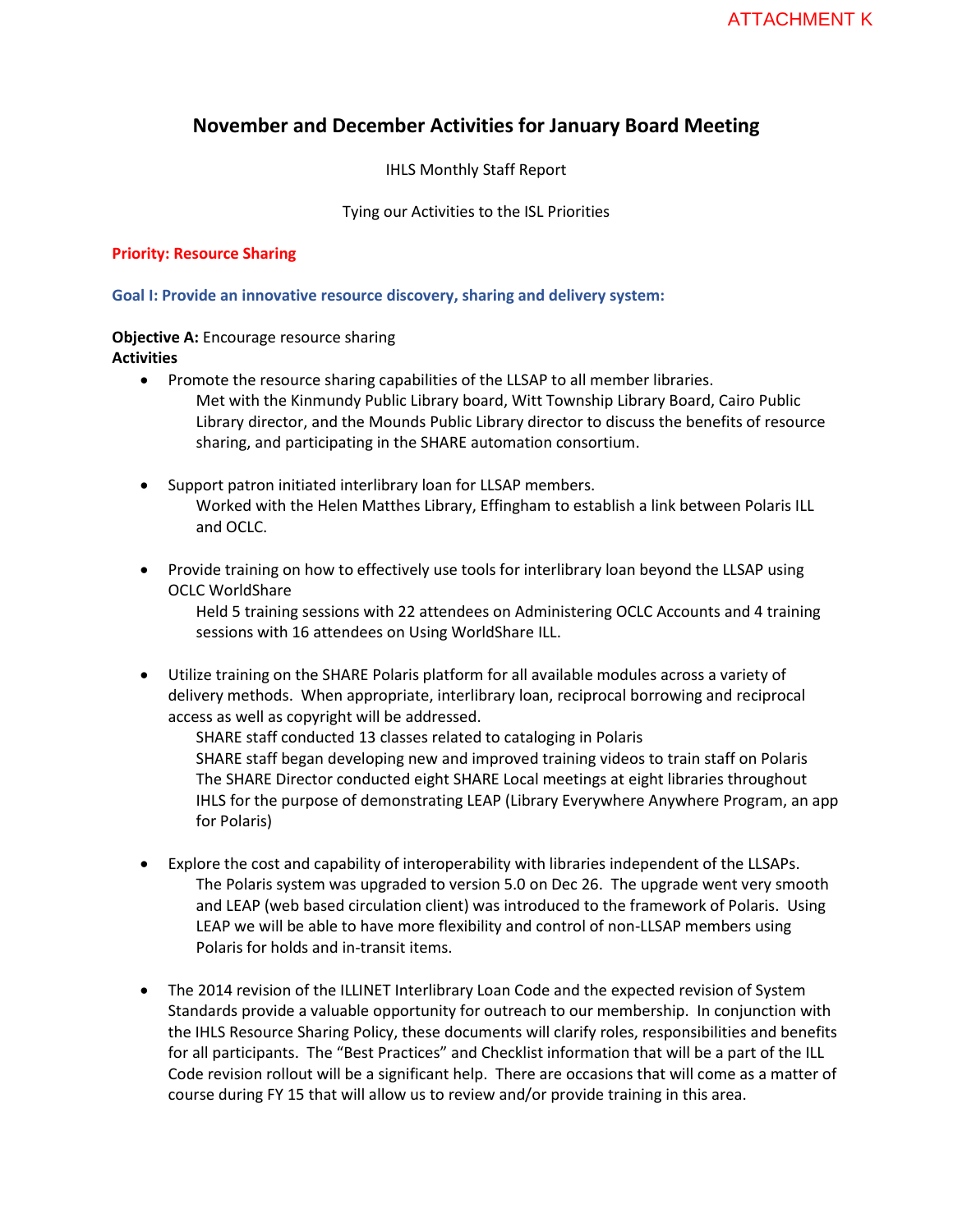# **November and December Activities for January Board Meeting**

IHLS Monthly Staff Report

Tying our Activities to the ISL Priorities

#### **Priority: Resource Sharing**

**Goal I: Provide an innovative resource discovery, sharing and delivery system:** 

#### **Objective A:** Encourage resource sharing **Activities**

- Promote the resource sharing capabilities of the LLSAP to all member libraries. Met with the Kinmundy Public Library board, Witt Township Library Board, Cairo Public Library director, and the Mounds Public Library director to discuss the benefits of resource sharing, and participating in the SHARE automation consortium.
- Support patron initiated interlibrary loan for LLSAP members. Worked with the Helen Matthes Library, Effingham to establish a link between Polaris ILL and OCLC.
- Provide training on how to effectively use tools for interlibrary loan beyond the LLSAP using OCLC WorldShare

Held 5 training sessions with 22 attendees on Administering OCLC Accounts and 4 training sessions with 16 attendees on Using WorldShare ILL.

 Utilize training on the SHARE Polaris platform for all available modules across a variety of delivery methods. When appropriate, interlibrary loan, reciprocal borrowing and reciprocal access as well as copyright will be addressed.

SHARE staff conducted 13 classes related to cataloging in Polaris SHARE staff began developing new and improved training videos to train staff on Polaris The SHARE Director conducted eight SHARE Local meetings at eight libraries throughout IHLS for the purpose of demonstrating LEAP (Library Everywhere Anywhere Program, an app for Polaris)

- Explore the cost and capability of interoperability with libraries independent of the LLSAPs. The Polaris system was upgraded to version 5.0 on Dec 26. The upgrade went very smooth and LEAP (web based circulation client) was introduced to the framework of Polaris. Using LEAP we will be able to have more flexibility and control of non-LLSAP members using Polaris for holds and in-transit items.
- The 2014 revision of the ILLINET Interlibrary Loan Code and the expected revision of System Standards provide a valuable opportunity for outreach to our membership. In conjunction with the IHLS Resource Sharing Policy, these documents will clarify roles, responsibilities and benefits for all participants. The "Best Practices" and Checklist information that will be a part of the ILL Code revision rollout will be a significant help. There are occasions that will come as a matter of course during FY 15 that will allow us to review and/or provide training in this area.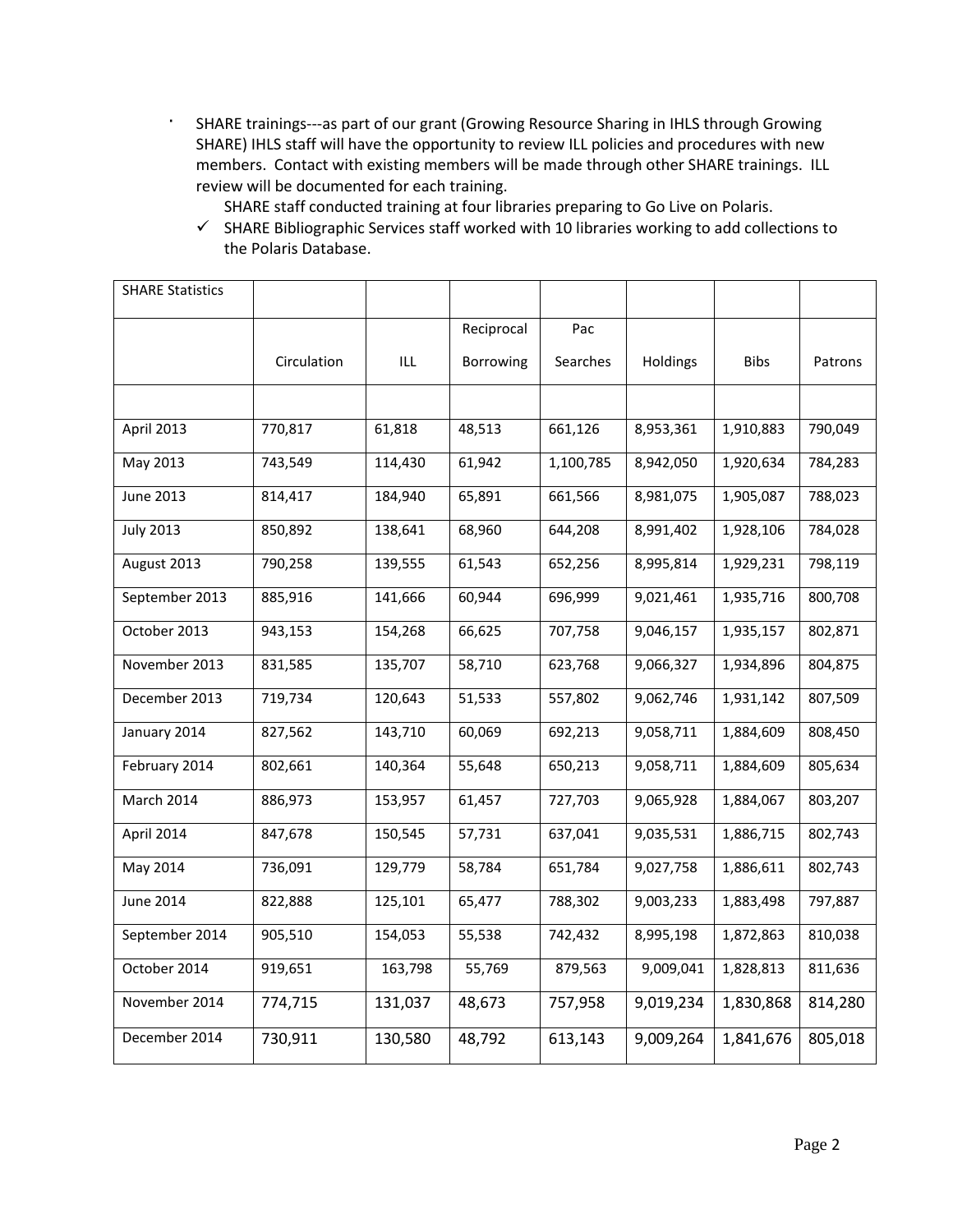- · SHARE trainings---as part of our grant (Growing Resource Sharing in IHLS through Growing SHARE) IHLS staff will have the opportunity to review ILL policies and procedures with new members. Contact with existing members will be made through other SHARE trainings. ILL review will be documented for each training.
	- SHARE staff conducted training at four libraries preparing to Go Live on Polaris.

 $\checkmark$  SHARE Bibliographic Services staff worked with 10 libraries working to add collections to the Polaris Database.

| <b>SHARE Statistics</b> |             |         |            |           |           |             |         |
|-------------------------|-------------|---------|------------|-----------|-----------|-------------|---------|
|                         |             |         | Reciprocal | Pac       |           |             |         |
|                         | Circulation | ILL     | Borrowing  | Searches  | Holdings  | <b>Bibs</b> | Patrons |
|                         |             |         |            |           |           |             |         |
| April 2013              | 770,817     | 61,818  | 48,513     | 661,126   | 8,953,361 | 1,910,883   | 790,049 |
| May 2013                | 743,549     | 114,430 | 61,942     | 1,100,785 | 8,942,050 | 1,920,634   | 784,283 |
| <b>June 2013</b>        | 814,417     | 184,940 | 65,891     | 661,566   | 8,981,075 | 1,905,087   | 788,023 |
| <b>July 2013</b>        | 850,892     | 138,641 | 68,960     | 644,208   | 8,991,402 | 1,928,106   | 784,028 |
| August 2013             | 790,258     | 139,555 | 61,543     | 652,256   | 8,995,814 | 1,929,231   | 798,119 |
| September 2013          | 885,916     | 141,666 | 60,944     | 696,999   | 9,021,461 | 1,935,716   | 800,708 |
| October 2013            | 943,153     | 154,268 | 66,625     | 707,758   | 9,046,157 | 1,935,157   | 802,871 |
| November 2013           | 831,585     | 135,707 | 58,710     | 623,768   | 9,066,327 | 1,934,896   | 804,875 |
| December 2013           | 719,734     | 120,643 | 51,533     | 557,802   | 9,062,746 | 1,931,142   | 807,509 |
| January 2014            | 827,562     | 143,710 | 60,069     | 692,213   | 9,058,711 | 1,884,609   | 808,450 |
| February 2014           | 802,661     | 140,364 | 55,648     | 650,213   | 9,058,711 | 1,884,609   | 805,634 |
| March 2014              | 886,973     | 153,957 | 61,457     | 727,703   | 9,065,928 | 1,884,067   | 803,207 |
| April 2014              | 847,678     | 150,545 | 57,731     | 637,041   | 9,035,531 | 1,886,715   | 802,743 |
| May 2014                | 736,091     | 129,779 | 58,784     | 651,784   | 9,027,758 | 1,886,611   | 802,743 |
| <b>June 2014</b>        | 822,888     | 125,101 | 65,477     | 788,302   | 9,003,233 | 1,883,498   | 797,887 |
| September 2014          | 905,510     | 154,053 | 55,538     | 742,432   | 8,995,198 | 1,872,863   | 810,038 |
| October 2014            | 919,651     | 163,798 | 55,769     | 879,563   | 9,009,041 | 1,828,813   | 811,636 |
| November 2014           | 774,715     | 131,037 | 48,673     | 757,958   | 9,019,234 | 1,830,868   | 814,280 |
| December 2014           | 730,911     | 130,580 | 48,792     | 613,143   | 9,009,264 | 1,841,676   | 805,018 |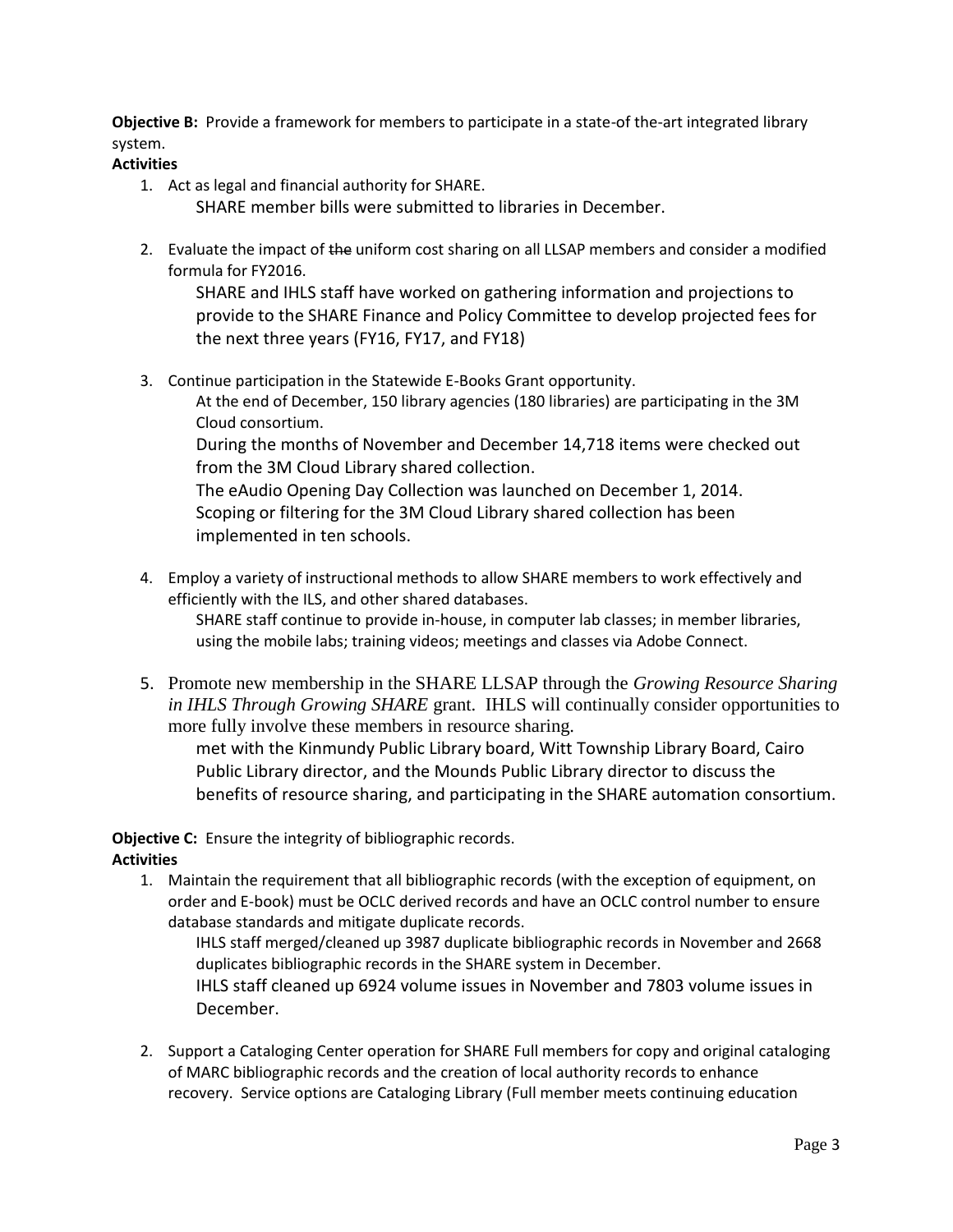**Objective B:** Provide a framework for members to participate in a state-of the-art integrated library system.

### **Activities**

1. Act as legal and financial authority for SHARE.

SHARE member bills were submitted to libraries in December.

2. Evaluate the impact of the uniform cost sharing on all LLSAP members and consider a modified formula for FY2016.

SHARE and IHLS staff have worked on gathering information and projections to provide to the SHARE Finance and Policy Committee to develop projected fees for the next three years (FY16, FY17, and FY18)

3. Continue participation in the Statewide E-Books Grant opportunity. At the end of December, 150 library agencies (180 libraries) are participating in the 3M Cloud consortium. During the months of November and December 14,718 items were checked out from the 3M Cloud Library shared collection. The eAudio Opening Day Collection was launched on December 1, 2014. Scoping or filtering for the 3M Cloud Library shared collection has been

implemented in ten schools.

4. Employ a variety of instructional methods to allow SHARE members to work effectively and efficiently with the ILS, and other shared databases.

SHARE staff continue to provide in-house, in computer lab classes; in member libraries, using the mobile labs; training videos; meetings and classes via Adobe Connect.

5. Promote new membership in the SHARE LLSAP through the *Growing Resource Sharing in IHLS Through Growing SHARE* grant. IHLS will continually consider opportunities to more fully involve these members in resource sharing.

met with the Kinmundy Public Library board, Witt Township Library Board, Cairo Public Library director, and the Mounds Public Library director to discuss the benefits of resource sharing, and participating in the SHARE automation consortium.

**Objective C:** Ensure the integrity of bibliographic records.

## **Activities**

1. Maintain the requirement that all bibliographic records (with the exception of equipment, on order and E-book) must be OCLC derived records and have an OCLC control number to ensure database standards and mitigate duplicate records.

IHLS staff merged/cleaned up 3987 duplicate bibliographic records in November and 2668 duplicates bibliographic records in the SHARE system in December. IHLS staff cleaned up 6924 volume issues in November and 7803 volume issues in

- December.
- 2. Support a Cataloging Center operation for SHARE Full members for copy and original cataloging of MARC bibliographic records and the creation of local authority records to enhance recovery. Service options are Cataloging Library (Full member meets continuing education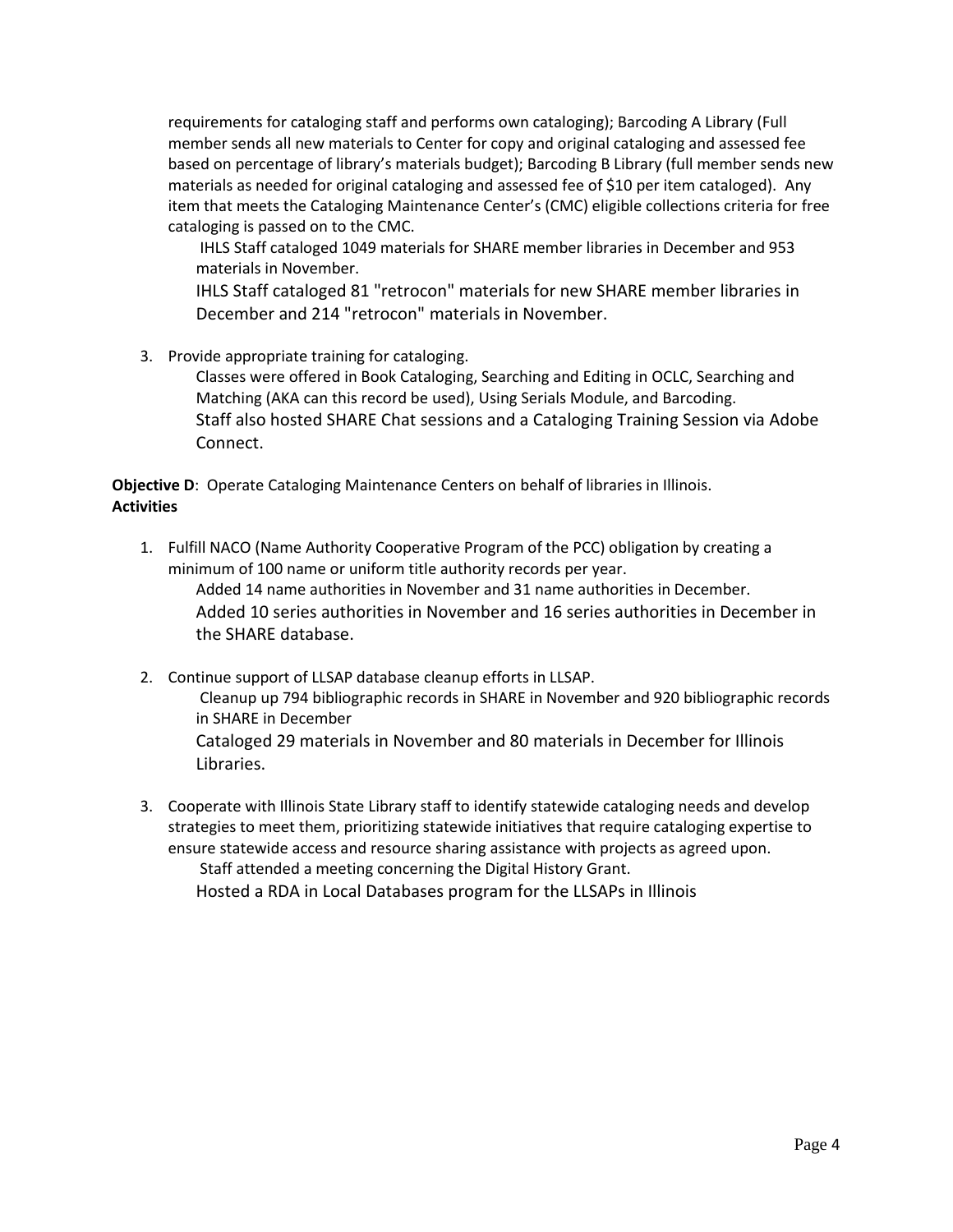requirements for cataloging staff and performs own cataloging); Barcoding A Library (Full member sends all new materials to Center for copy and original cataloging and assessed fee based on percentage of library's materials budget); Barcoding B Library (full member sends new materials as needed for original cataloging and assessed fee of \$10 per item cataloged). Any item that meets the Cataloging Maintenance Center's (CMC) eligible collections criteria for free cataloging is passed on to the CMC.

IHLS Staff cataloged 1049 materials for SHARE member libraries in December and 953 materials in November.

IHLS Staff cataloged 81 "retrocon" materials for new SHARE member libraries in December and 214 "retrocon" materials in November.

3. Provide appropriate training for cataloging.

Classes were offered in Book Cataloging, Searching and Editing in OCLC, Searching and Matching (AKA can this record be used), Using Serials Module, and Barcoding. Staff also hosted SHARE Chat sessions and a Cataloging Training Session via Adobe Connect.

**Objective D**: Operate Cataloging Maintenance Centers on behalf of libraries in Illinois. **Activities**

1. Fulfill NACO (Name Authority Cooperative Program of the PCC) obligation by creating a minimum of 100 name or uniform title authority records per year.

Added 14 name authorities in November and 31 name authorities in December. Added 10 series authorities in November and 16 series authorities in December in the SHARE database.

- 2. Continue support of LLSAP database cleanup efforts in LLSAP. Cleanup up 794 bibliographic records in SHARE in November and 920 bibliographic records in SHARE in December Cataloged 29 materials in November and 80 materials in December for Illinois Libraries.
- 3. Cooperate with Illinois State Library staff to identify statewide cataloging needs and develop strategies to meet them, prioritizing statewide initiatives that require cataloging expertise to ensure statewide access and resource sharing assistance with projects as agreed upon. Staff attended a meeting concerning the Digital History Grant. Hosted a RDA in Local Databases program for the LLSAPs in Illinois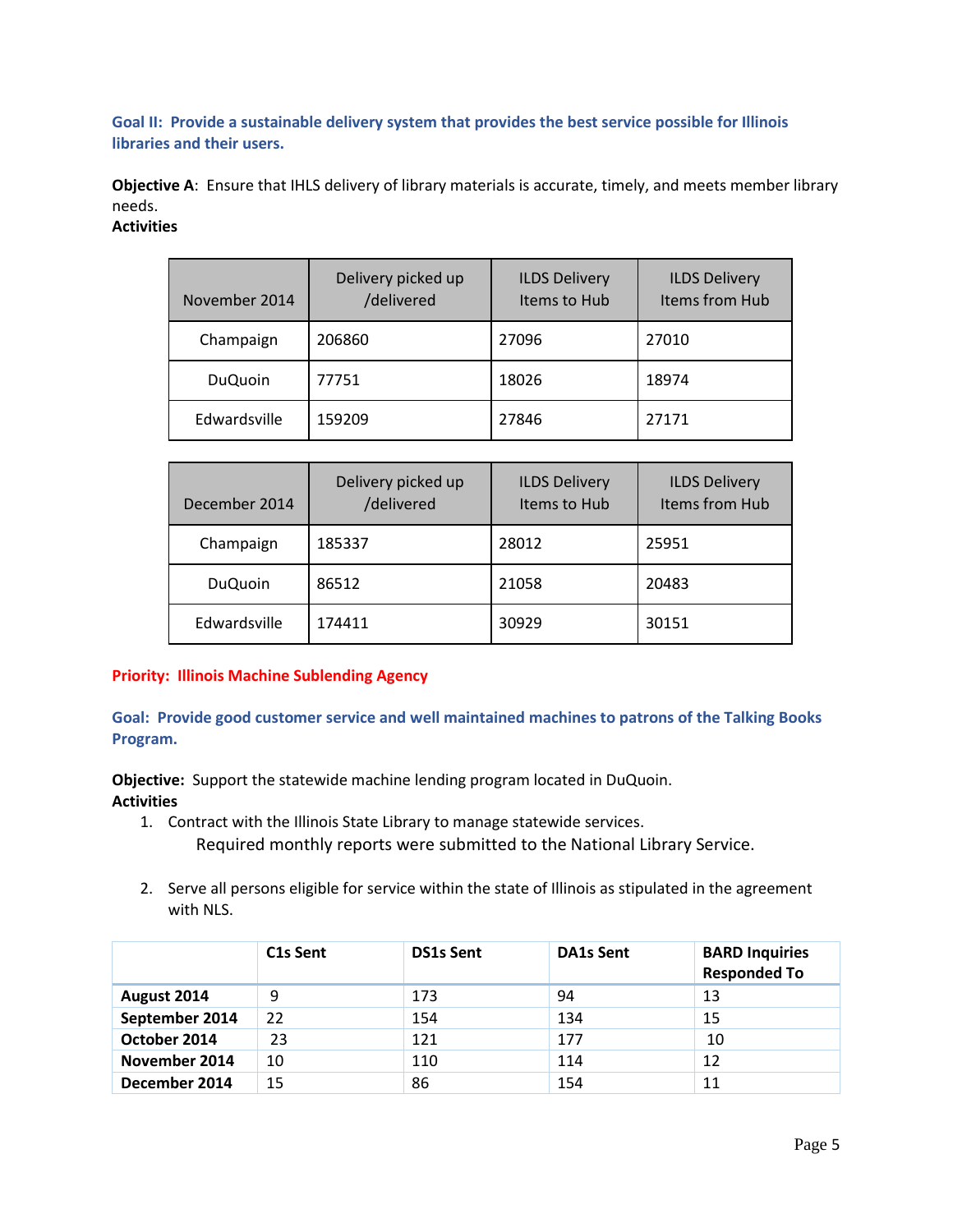**Goal II: Provide a sustainable delivery system that provides the best service possible for Illinois libraries and their users.**

**Objective A**: Ensure that IHLS delivery of library materials is accurate, timely, and meets member library needs.

## **Activities**

| November 2014  | Delivery picked up<br>/delivered | <b>ILDS Delivery</b><br>Items to Hub | <b>ILDS Delivery</b><br>Items from Hub |
|----------------|----------------------------------|--------------------------------------|----------------------------------------|
| Champaign      | 206860                           | 27096                                | 27010                                  |
| <b>DuQuoin</b> | 77751                            | 18026                                | 18974                                  |
| Edwardsville   | 159209                           | 27846                                | 27171                                  |

| December 2014  | Delivery picked up<br>/delivered | <b>ILDS Delivery</b><br>Items to Hub | <b>ILDS Delivery</b><br>Items from Hub |
|----------------|----------------------------------|--------------------------------------|----------------------------------------|
| Champaign      | 185337                           | 28012                                | 25951                                  |
| <b>DuQuoin</b> | 86512                            | 21058                                | 20483                                  |
| Edwardsville   | 174411                           | 30929                                | 30151                                  |

#### **Priority: Illinois Machine Sublending Agency**

**Goal: Provide good customer service and well maintained machines to patrons of the Talking Books Program.**

**Objective:** Support the statewide machine lending program located in DuQuoin. **Activities**

- 1. Contract with the Illinois State Library to manage statewide services. Required monthly reports were submitted to the National Library Service.
- 2. Serve all persons eligible for service within the state of Illinois as stipulated in the agreement with NLS.

|                | C <sub>1</sub> s Sent | <b>DS1s Sent</b> | <b>DA1s Sent</b> | <b>BARD Inquiries</b><br><b>Responded To</b> |
|----------------|-----------------------|------------------|------------------|----------------------------------------------|
| August 2014    | 9                     | 173              | 94               | 13                                           |
| September 2014 | 22                    | 154              | 134              | 15                                           |
| October 2014   | 23                    | 121              | 177              | 10                                           |
| November 2014  | 10                    | 110              | 114              | 12                                           |
| December 2014  | 15                    | 86               | 154              | 11                                           |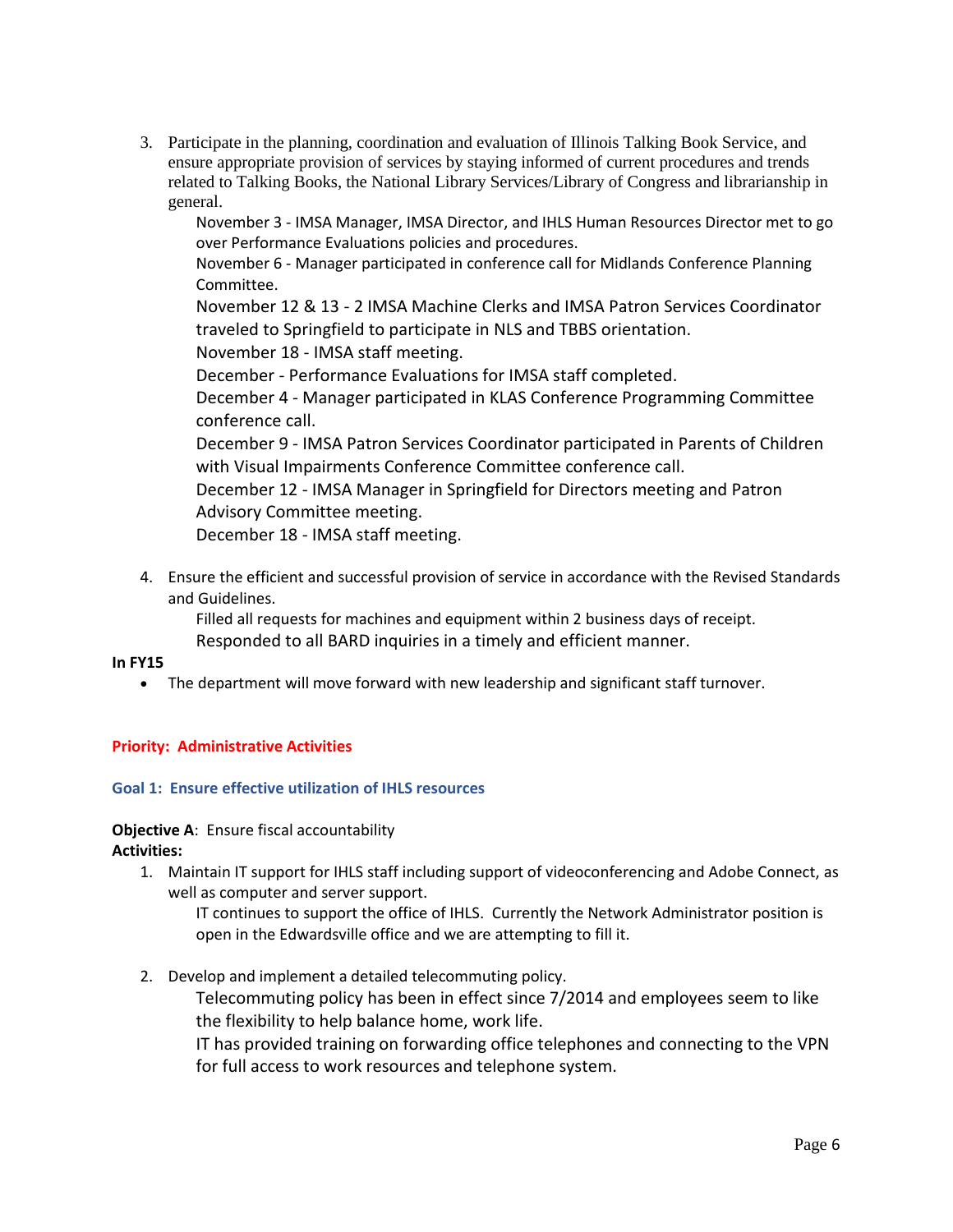3. Participate in the planning, coordination and evaluation of Illinois Talking Book Service, and ensure appropriate provision of services by staying informed of current procedures and trends related to Talking Books, the National Library Services/Library of Congress and librarianship in general.

November 3 - IMSA Manager, IMSA Director, and IHLS Human Resources Director met to go over Performance Evaluations policies and procedures.

November 6 - Manager participated in conference call for Midlands Conference Planning Committee.

November 12 & 13 - 2 IMSA Machine Clerks and IMSA Patron Services Coordinator traveled to Springfield to participate in NLS and TBBS orientation.

November 18 - IMSA staff meeting.

December - Performance Evaluations for IMSA staff completed.

December 4 - Manager participated in KLAS Conference Programming Committee conference call.

December 9 - IMSA Patron Services Coordinator participated in Parents of Children with Visual Impairments Conference Committee conference call.

December 12 - IMSA Manager in Springfield for Directors meeting and Patron Advisory Committee meeting.

December 18 - IMSA staff meeting.

4. Ensure the efficient and successful provision of service in accordance with the Revised Standards and Guidelines.

Filled all requests for machines and equipment within 2 business days of receipt.

Responded to all BARD inquiries in a timely and efficient manner.

#### **In FY15**

The department will move forward with new leadership and significant staff turnover.

### **Priority: Administrative Activities**

#### **Goal 1: Ensure effective utilization of IHLS resources**

# **Objective A**: Ensure fiscal accountability

**Activities:**

1. Maintain IT support for IHLS staff including support of videoconferencing and Adobe Connect, as well as computer and server support.

IT continues to support the office of IHLS. Currently the Network Administrator position is open in the Edwardsville office and we are attempting to fill it.

2. Develop and implement a detailed telecommuting policy.

Telecommuting policy has been in effect since 7/2014 and employees seem to like the flexibility to help balance home, work life.

IT has provided training on forwarding office telephones and connecting to the VPN for full access to work resources and telephone system.